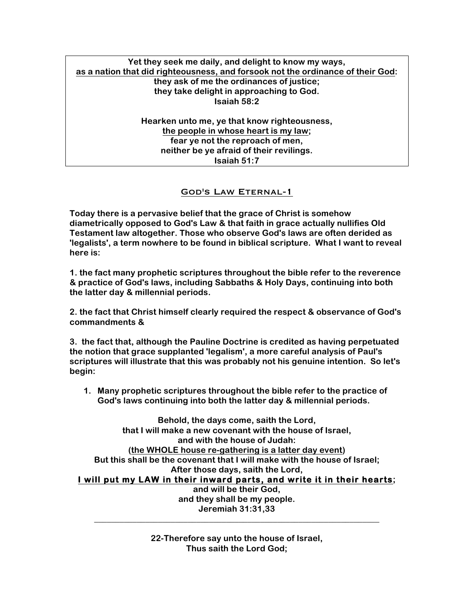# **Yet they seek me daily, and delight to know my ways, as a nation that did righteousness, and forsook not the ordinance of their God: they ask of me the ordinances of justice; they take delight in approaching to God. Isaiah 58:2**

**Hearken unto me, ye that know righteousness, the people in whose heart is my law; fear ye not the reproach of men, neither be ye afraid of their revilings. Isaiah 51:7**

## God's Law Eternal-1

**Today there is a pervasive belief that the grace of Christ is somehow diametrically opposed to God's Law & that faith in grace actually nullifies Old Testament law altogether. Those who observe God's laws are often derided as 'legalists', a term nowhere to be found in biblical scripture. What I want to reveal here is:**

**1. the fact many prophetic scriptures throughout the bible refer to the reverence & practice of God's laws, including Sabbaths & Holy Days, continuing into both the latter day & millennial periods.**

**2. the fact that Christ himself clearly required the respect & observance of God's commandments &**

**3. the fact that, although the Pauline Doctrine is credited as having perpetuated the notion that grace supplanted 'legalism', a more careful analysis of Paul's scriptures will illustrate that this was probably not his genuine intention. So let's begin:**

**1. Many prophetic scriptures throughout the bible refer to the practice of God's laws continuing into both the latter day & millennial periods.**

**Behold, the days come, saith the Lord, that I will make a new covenant with the house of Israel, and with the house of Judah: (the WHOLE house re-gathering is a latter day event) But this shall be the covenant that I will make with the house of Israel; After those days, saith the Lord, I will put my LAW in their inward parts, and write it in their hearts; and will be their God, and they shall be my people. Jeremiah 31:31,33**

> **22-Therefore say unto the house of Israel, Thus saith the Lord God;**

**\_\_\_\_\_\_\_\_\_\_\_\_\_\_\_\_\_\_\_\_\_\_\_\_\_\_\_\_\_\_\_\_\_\_\_\_\_\_\_\_\_\_\_\_\_\_\_\_\_\_\_\_\_\_\_\_\_\_\_\_\_\_\_\_\_\_\_**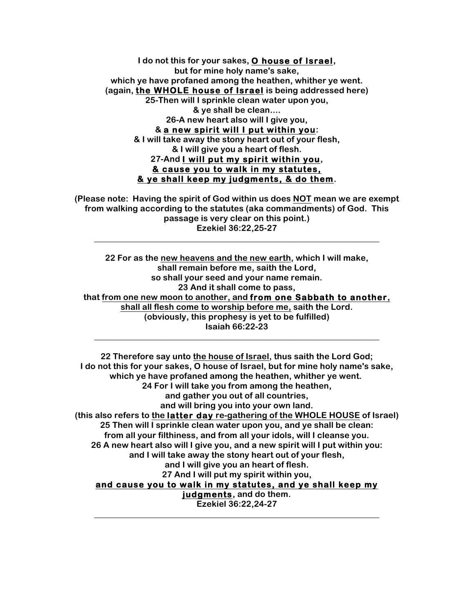**I do not this for your sakes, O house of Israel, but for mine holy name's sake, which ye have profaned among the heathen, whither ye went. (again, the WHOLE house of Israel is being addressed here) 25-Then will I sprinkle clean water upon you, & ye shall be clean.... 26-A new heart also will I give you, & a new spirit will I put within you: & I will take away the stony heart out of your flesh, & I will give you a heart of flesh. 27-And I will put my spirit within you, & cause you to walk in my statutes, & ye shall keep my judgments, & do them.**

**(Please note: Having the spirit of God within us does NOT mean we are exempt from walking according to the statutes (aka commandments) of God. This passage is very clear on this point.) Ezekiel 36:22,25-27**

**\_\_\_\_\_\_\_\_\_\_\_\_\_\_\_\_\_\_\_\_\_\_\_\_\_\_\_\_\_\_\_\_\_\_\_\_\_\_\_\_\_\_\_\_\_\_\_\_\_\_\_\_\_\_\_\_\_\_\_\_\_\_\_\_\_\_\_**

**22 For as the new heavens and the new earth, which I will make, shall remain before me, saith the Lord, so shall your seed and your name remain. 23 And it shall come to pass, that from one new moon to another, and from one Sabbath to another, shall all flesh come to worship before me, saith the Lord. (obviously, this prophesy is yet to be fulfilled) Isaiah 66:22-23**

**\_\_\_\_\_\_\_\_\_\_\_\_\_\_\_\_\_\_\_\_\_\_\_\_\_\_\_\_\_\_\_\_\_\_\_\_\_\_\_\_\_\_\_\_\_\_\_\_\_\_\_\_\_\_\_\_\_\_\_\_\_\_\_\_\_\_\_**

**22 Therefore say unto the house of Israel, thus saith the Lord God; I do not this for your sakes, O house of Israel, but for mine holy name's sake, which ye have profaned among the heathen, whither ye went. 24 For I will take you from among the heathen, and gather you out of all countries, and will bring you into your own land. (this also refers to the latter day re-gathering of the WHOLE HOUSE of Israel) 25 Then will I sprinkle clean water upon you, and ye shall be clean: from all your filthiness, and from all your idols, will I cleanse you. 26 A new heart also will I give you, and a new spirit will I put within you: and I will take away the stony heart out of your flesh, and I will give you an heart of flesh. 27 And I will put my spirit within you, and cause you to walk in my statutes, and ye shall keep my judgments, and do them. Ezekiel 36:22,24-27 \_\_\_\_\_\_\_\_\_\_\_\_\_\_\_\_\_\_\_\_\_\_\_\_\_\_\_\_\_\_\_\_\_\_\_\_\_\_\_\_\_\_\_\_\_\_\_\_\_\_\_\_\_\_\_\_\_\_\_\_\_\_\_\_\_\_\_**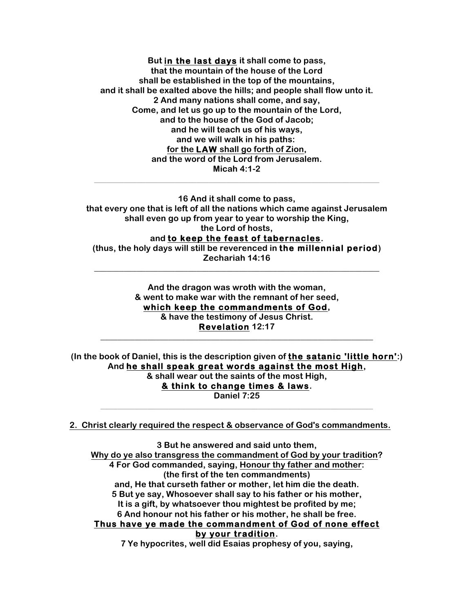**But in the last days it shall come to pass, that the mountain of the house of the Lord shall be established in the top of the mountains, and it shall be exalted above the hills; and people shall flow unto it. 2 And many nations shall come, and say, Come, and let us go up to the mountain of the Lord, and to the house of the God of Jacob; and he will teach us of his ways, and we will walk in his paths: for the LAW shall go forth of Zion, and the word of the Lord from Jerusalem. Micah 4:1-2**

**16 And it shall come to pass, that every one that is left of all the nations which came against Jerusalem shall even go up from year to year to worship the King, the Lord of hosts, and to keep the feast of tabernacles.**

**\_\_\_\_\_\_\_\_\_\_\_\_\_\_\_\_\_\_\_\_\_\_\_\_\_\_\_\_\_\_\_\_\_\_\_\_\_\_\_\_\_\_\_\_\_\_\_\_\_\_\_\_\_\_\_\_\_\_\_\_\_\_\_\_\_\_\_**

**(thus, the holy days will still be reverenced in the millennial period) Zechariah 14:16 \_\_\_\_\_\_\_\_\_\_\_\_\_\_\_\_\_\_\_\_\_\_\_\_\_\_\_\_\_\_\_\_\_\_\_\_\_\_\_\_\_\_\_\_\_\_\_\_\_\_\_\_\_\_\_\_\_\_\_\_\_\_\_\_\_\_\_**

> **And the dragon was wroth with the woman, & went to make war with the remnant of her seed, which keep the commandments of God, & have the testimony of Jesus Christ. Revelation 12:17**

**\_\_\_\_\_\_\_\_\_\_\_\_\_\_\_\_\_\_\_\_\_\_\_\_\_\_\_\_\_\_\_\_\_\_\_\_\_\_\_\_\_\_\_\_\_\_\_\_\_\_\_\_\_\_\_\_\_\_\_\_\_\_\_\_**

**(In the book of Daniel, this is the description given of the satanic 'little horn':) And he shall speak great words against the most High, & shall wear out the saints of the most High, & think to change times & laws. Daniel 7:25**

**\_\_\_\_\_\_\_\_\_\_\_\_\_\_\_\_\_\_\_\_\_\_\_\_\_\_\_\_\_\_\_\_\_\_\_\_\_\_\_\_\_\_\_\_\_\_\_\_\_\_\_\_\_\_\_\_\_\_\_\_\_\_\_\_**

**2. Christ clearly required the respect & observance of God's commandments.**

**3 But he answered and said unto them, Why do ye also transgress the commandment of God by your tradition? 4 For God commanded, saying, Honour thy father and mother: (the first of the ten commandments) and, He that curseth father or mother, let him die the death. 5 But ye say, Whosoever shall say to his father or his mother, It is a gift, by whatsoever thou mightest be profited by me; 6 And honour not his father or his mother, he shall be free. Thus have ye made the commandment of God of none effect by your tradition. 7 Ye hypocrites, well did Esaias prophesy of you, saying,**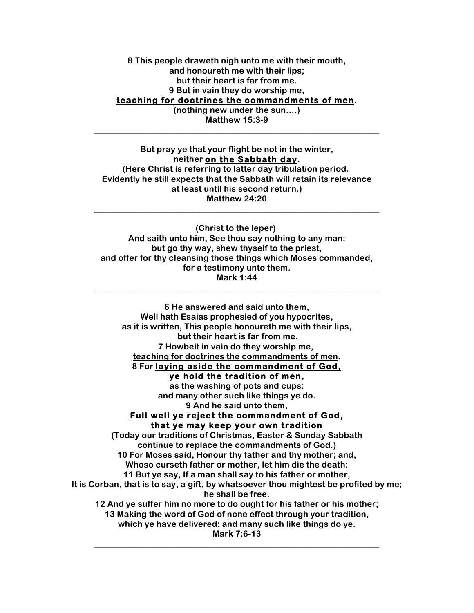### **8 This people draweth nigh unto me with their mouth, and honoureth me with their lips; but their heart is far from me. 9 But in vain they do worship me, teaching for doctrines the commandments of men. (nothing new under the sun….) Matthew 15:3-9**

**\_\_\_\_\_\_\_\_\_\_\_\_\_\_\_\_\_\_\_\_\_\_\_\_\_\_\_\_\_\_\_\_\_\_\_\_\_\_\_\_\_\_\_\_\_\_\_\_\_\_\_\_\_\_\_\_\_\_\_\_\_\_\_\_\_\_\_**

**But pray ye that your flight be not in the winter, neither on the Sabbath day. (Here Christ is referring to latter day tribulation period. Evidently he still expects that the Sabbath will retain its relevance at least until his second return.) Matthew 24:20**

**\_\_\_\_\_\_\_\_\_\_\_\_\_\_\_\_\_\_\_\_\_\_\_\_\_\_\_\_\_\_\_\_\_\_\_\_\_\_\_\_\_\_\_\_\_\_\_\_\_\_\_\_\_\_\_\_\_\_\_\_\_\_\_\_\_\_\_**

**(Christ to the leper) And saith unto him, See thou say nothing to any man: but go thy way, shew thyself to the priest, and offer for thy cleansing those things which Moses commanded, for a testimony unto them. Mark 1:44**

**\_\_\_\_\_\_\_\_\_\_\_\_\_\_\_\_\_\_\_\_\_\_\_\_\_\_\_\_\_\_\_\_\_\_\_\_\_\_\_\_\_\_\_\_\_\_\_\_\_\_\_\_\_\_\_\_\_\_\_\_\_\_\_\_\_\_\_**

**6 He answered and said unto them, Well hath Esaias prophesied of you hypocrites, as it is written, This people honoureth me with their lips, but their heart is far from me. 7 Howbeit in vain do they worship me, teaching for doctrines the commandments of men. 8 For laying aside the commandment of God, ye hold the tradition of men, as the washing of pots and cups: and many other such like things ye do. 9 And he said unto them, Full well ye reject the commandment of God, that ye may keep your own tradition (Today our traditions of Christmas, Easter & Sunday Sabbath continue to replace the commandments of God.) 10 For Moses said, Honour thy father and thy mother; and, Whoso curseth father or mother, let him die the death: 11 But ye say, If a man shall say to his father or mother, It is Corban, that is to say, a gift, by whatsoever thou mightest be profited by me; he shall be free. 12 And ye suffer him no more to do ought for his father or his mother; 13 Making the word of God of none effect through your tradition, which ye have delivered: and many such like things do ye. Mark 7:6-13 \_\_\_\_\_\_\_\_\_\_\_\_\_\_\_\_\_\_\_\_\_\_\_\_\_\_\_\_\_\_\_\_\_\_\_\_\_\_\_\_\_\_\_\_\_\_\_\_\_\_\_\_\_\_\_\_\_\_\_\_\_\_\_\_\_\_\_**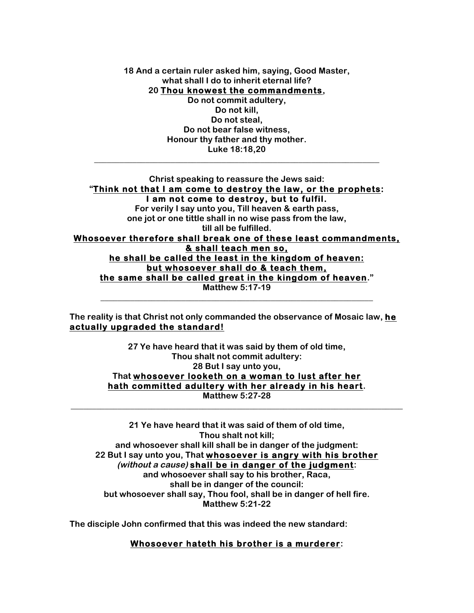**18 And a certain ruler asked him, saying, Good Master, what shall I do to inherit eternal life? 20 Thou knowest the commandments, Do not commit adultery, Do not kill, Do not steal, Do not bear false witness, Honour thy father and thy mother.**

**Luke 18:18,20 \_\_\_\_\_\_\_\_\_\_\_\_\_\_\_\_\_\_\_\_\_\_\_\_\_\_\_\_\_\_\_\_\_\_\_\_\_\_\_\_\_\_\_\_\_\_\_\_\_\_\_\_\_\_\_\_\_\_\_\_\_\_\_\_\_\_\_**

**Christ speaking to reassure the Jews said: "Think not that I am come to destroy the law, or the prophets: I am not come to destroy, but to fulfil.**

**For verily I say unto you, Till heaven & earth pass, one jot or one tittle shall in no wise pass from the law, till all be fulfilled.**

**Whosoever therefore shall break one of these least commandments, & shall teach men so,**

**he shall be called the least in the kingdom of heaven: but whosoever shall do & teach them, the same shall be called great in the kingdom of heaven."**

**Matthew 5:17-19 \_\_\_\_\_\_\_\_\_\_\_\_\_\_\_\_\_\_\_\_\_\_\_\_\_\_\_\_\_\_\_\_\_\_\_\_\_\_\_\_\_\_\_\_\_\_\_\_\_\_\_\_\_\_\_\_\_\_\_\_\_\_\_\_**

**The reality is that Christ not only commanded the observance of Mosaic law, he actually upgraded the standard!**

> **27 Ye have heard that it was said by them of old time, Thou shalt not commit adultery: 28 But I say unto you, That whosoever looketh on a woman to lust after her hath committed adultery with her already in his heart. Matthew 5:27-28**

**\_\_\_\_\_\_\_\_\_\_\_\_\_\_\_\_\_\_\_\_\_\_\_\_\_\_\_\_\_\_\_\_\_\_\_\_\_\_\_\_\_\_\_\_\_\_\_\_\_\_\_\_\_\_\_\_\_\_\_\_\_\_\_\_\_\_\_\_\_\_\_\_\_\_\_\_\_\_**

**21 Ye have heard that it was said of them of old time, Thou shalt not kill; and whosoever shall kill shall be in danger of the judgment: 22 But I say unto you, That whosoever is angry with his brother (without <sup>a</sup> cause) shall be in danger of the judgment: and whosoever shall say to his brother, Raca, shall be in danger of the council: but whosoever shall say, Thou fool, shall be in danger of hell fire. Matthew 5:21-22**

**The disciple John confirmed that this was indeed the new standard:**

#### **Whosoever hateth his brother is a murderer:**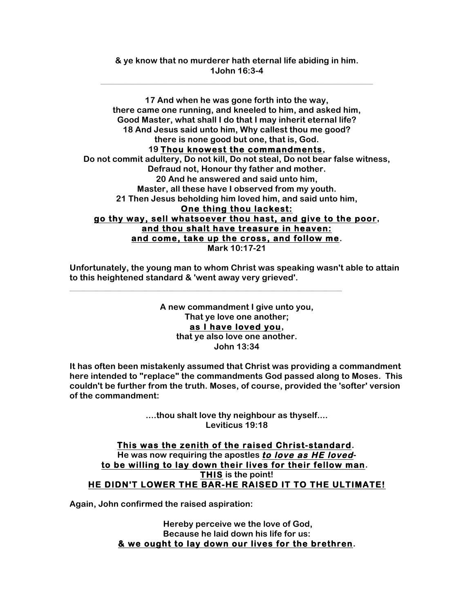**17 And when he was gone forth into the way, there came one running, and kneeled to him, and asked him, Good Master, what shall I do that I may inherit eternal life? 18 And Jesus said unto him, Why callest thou me good? there is none good but one, that is, God. 19 Thou knowest the commandments, Do not commit adultery, Do not kill, Do not steal, Do not bear false witness, Defraud not, Honour thy father and mother. 20 And he answered and said unto him, Master, all these have I observed from my youth. 21 Then Jesus beholding him loved him, and said unto him, One thing thou lackest: go thy way, sell whatsoever thou hast, and give to the poor, and thou shalt have treasure in heaven: and come, take up the cross, and follow me. Mark 10:17-21**

**Unfortunately, the young man to whom Christ was speaking wasn't able to attain to this heightened standard & 'went away very grieved'.**

**\_\_\_\_\_\_\_\_\_\_\_\_\_\_\_\_\_\_\_\_\_\_\_\_\_\_\_\_\_\_\_\_\_\_\_\_\_\_\_\_\_\_\_\_\_\_\_\_\_\_\_\_\_\_\_\_\_\_\_\_\_\_\_\_**

**A new commandment I give unto you, That ye love one another; as I have loved you, that ye also love one another. John 13:34**

**It has often been mistakenly assumed that Christ was providing a commandment here intended to "replace" the commandments God passed along to Moses. This couldn't be further from the truth. Moses, of course, provided the 'softer' version of the commandment:**

> **....thou shalt love thy neighbour as thyself.... Leviticus 19:18**

**This was the zenith of the raised Christ-standard. He was now requiring the apostles to love as HE lovedto be willing to lay down their lives for their fellow man. THIS is the point! HE DIDN'T LOWER THE BAR-HE RAISED IT TO THE ULTIMATE!**

**Again, John confirmed the raised aspiration:**

**Hereby perceive we the love of God, Because he laid down his life for us: & we ought to lay down our lives for the brethren.**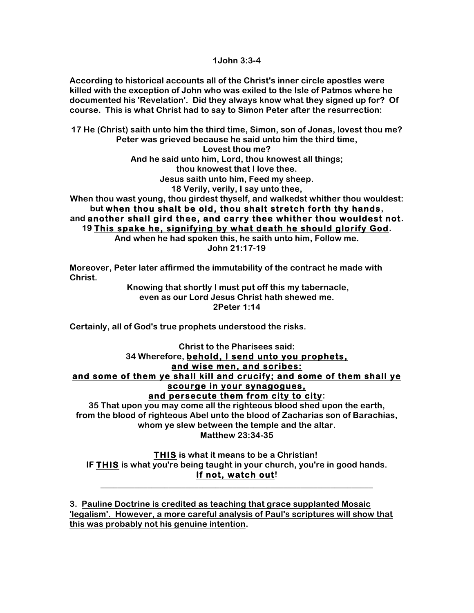**1John 3:3-4**

**According to historical accounts all of the Christ's inner circle apostles were killed with the exception of John who was exiled to the Isle of Patmos where he documented his 'Revelation'. Did they always know what they signed up for? Of course. This is what Christ had to say to Simon Peter after the resurrection:**

**17 He (Christ) saith unto him the third time, Simon, son of Jonas, lovest thou me? Peter was grieved because he said unto him the third time, Lovest thou me? And he said unto him, Lord, thou knowest all things; thou knowest that I love thee. Jesus saith unto him, Feed my sheep. 18 Verily, verily, I say unto thee, When thou wast young, thou girdest thyself, and walkedst whither thou wouldest: but when thou shalt be old, thou shalt stretch forth thy hands, and another shall gird thee, and carry thee whither thou wouldest not.**

**19 This spake he, signifying by what death he should glorify God. And when he had spoken this, he saith unto him, Follow me. John 21:17-19**

**Moreover, Peter later affirmed the immutability of the contract he made with Christ.**

> **Knowing that shortly I must put off this my tabernacle, even as our Lord Jesus Christ hath shewed me. 2Peter 1:14**

**Certainly, all of God's true prophets understood the risks.**

**Christ to the Pharisees said: 34 Wherefore, behold, I send unto you prophets, and wise men, and scribes: and some of them ye shall kill and crucify; and some of them shall ye scourge in your synagogues, and persecute them from city to city:**

**35 That upon you may come all the righteous blood shed upon the earth, from the blood of righteous Abel unto the blood of Zacharias son of Barachias, whom ye slew between the temple and the altar. Matthew 23:34-35**

**THIS is what it means to be a Christian! IF THIS is what you're being taught in your church, you're in good hands. If not, watch out!**

**\_\_\_\_\_\_\_\_\_\_\_\_\_\_\_\_\_\_\_\_\_\_\_\_\_\_\_\_\_\_\_\_\_\_\_\_\_\_\_\_\_\_\_\_\_\_\_\_\_\_\_\_\_\_\_\_\_\_\_\_\_\_\_\_**

**3. Pauline Doctrine is credited as teaching that grace supplanted Mosaic 'legalism'. However, a more careful analysis of Paul's scriptures will show that this was probably not his genuine intention.**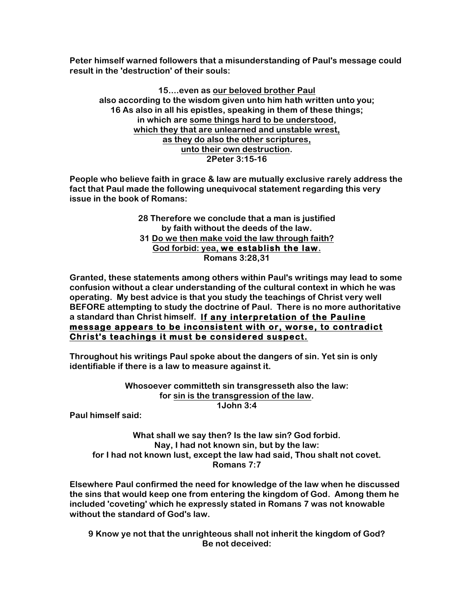**Peter himself warned followers that a misunderstanding of Paul's message could result in the 'destruction' of their souls:**

**15....even as our beloved brother Paul also according to the wisdom given unto him hath written unto you; 16 As also in all his epistles, speaking in them of these things; in which are some things hard to be understood, which they that are unlearned and unstable wrest, as they do also the other scriptures, unto their own destruction. 2Peter 3:15-16**

**People who believe faith in grace & law are mutually exclusive rarely address the fact that Paul made the following unequivocal statement regarding this very issue in the book of Romans:**

> **28 Therefore we conclude that a man is justified by faith without the deeds of the law. 31 Do we then make void the law through faith? God forbid: yea, we establish the law. Romans 3:28,31**

**Granted, these statements among others within Paul's writings may lead to some confusion without a clear understanding of the cultural context in which he was operating. My best advice is that you study the teachings of Christ very well BEFORE attempting to study the doctrine of Paul. There is no more authoritative a standard than Christ himself. If any interpretation of the Pauline message appears to be inconsistent with or, worse, to contradict Christ's teachings it must be considered suspect.**

**Throughout his writings Paul spoke about the dangers of sin. Yet sin is only identifiable if there is a law to measure against it.**

> **Whosoever committeth sin transgresseth also the law: for sin is the transgression of the law. 1John 3:4**

**Paul himself said:**

**What shall we say then? Is the law sin? God forbid. Nay, I had not known sin, but by the law: for I had not known lust, except the law had said, Thou shalt not covet. Romans 7:7**

**Elsewhere Paul confirmed the need for knowledge of the law when he discussed the sins that would keep one from entering the kingdom of God. Among them he included 'coveting' which he expressly stated in Romans 7 was not knowable without the standard of God's law.**

**9 Know ye not that the unrighteous shall not inherit the kingdom of God? Be not deceived:**